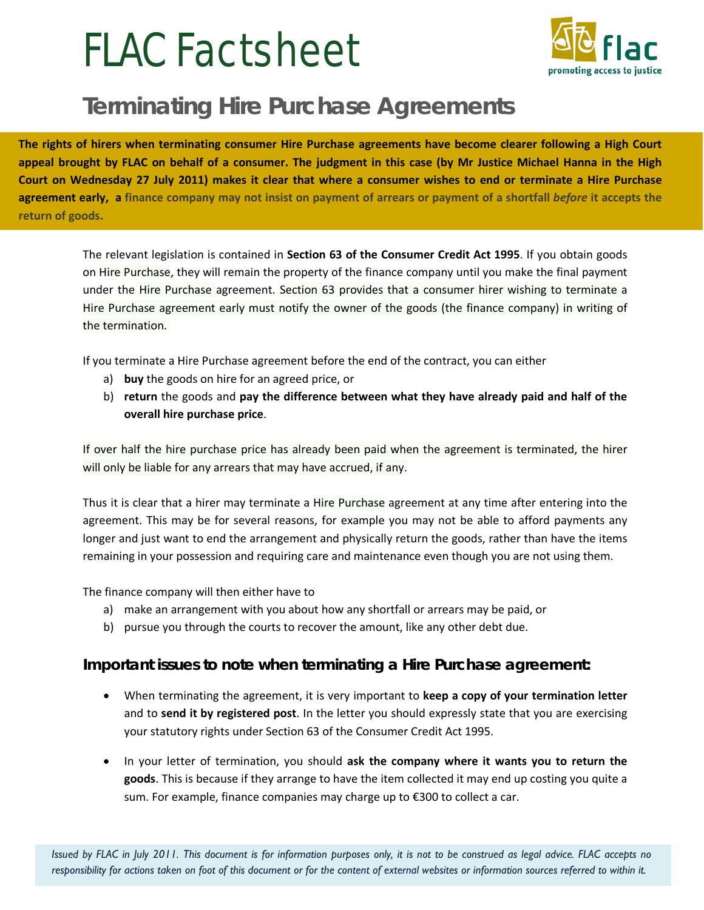# FLAC Factsheet



## **Terminating Hire Purchase Agreements**

**The rights of hirers when terminating consumer Hire Purchase agreements have become clearer following a High Court appeal brought by FLAC on behalf of a consumer. The judgment in this case (by Mr Justice Michael Hanna in the High Court on Wednesday 27 July 2011) makes it clear that where a consumer wishes to end or terminate a Hire Purchase agreement early, a finance company may not insist on payment of arrears or payment of a shortfall** *before* **it accepts the return of goods.** 

The relevant legislation is contained in **Section 63 of the Consumer Credit Act 1995**. If you obtain goods on Hire Purchase, they will remain the property of the finance company until you make the final payment under the Hire Purchase agreement. Section 63 provides that a consumer hirer wishing to terminate a Hire Purchase agreement early must notify the owner of the goods (the finance company) in writing of the termination.

If you terminate a Hire Purchase agreement before the end of the contract, you can either

- a) **buy** the goods on hire for an agreed price, or
- b) **return** the goods and **pay the difference between what they have already paid and half of the overall hire purchase price**.

If over half the hire purchase price has already been paid when the agreement is terminated, the hirer will only be liable for any arrears that may have accrued, if any.

Thus it is clear that a hirer may terminate a Hire Purchase agreement at any time after entering into the agreement. This may be for several reasons, for example you may not be able to afford payments any longer and just want to end the arrangement and physically return the goods, rather than have the items remaining in your possession and requiring care and maintenance even though you are not using them.

The finance company will then either have to

- a) make an arrangement with you about how any shortfall or arrears may be paid, or
- b) pursue you through the courts to recover the amount, like any other debt due.

#### **Important issues to note when terminating a Hire Purchase agreement:**

- When terminating the agreement, it is very important to **keep a copy of your termination letter** and to **send it by registered post**. In the letter you should expressly state that you are exercising your statutory rights under Section 63 of the Consumer Credit Act 1995.
- In your letter of termination, you should **ask the company where it wants you to return the goods**. This is because if they arrange to have the item collected it may end up costing you quite a sum. For example, finance companies may charge up to €300 to collect a car.